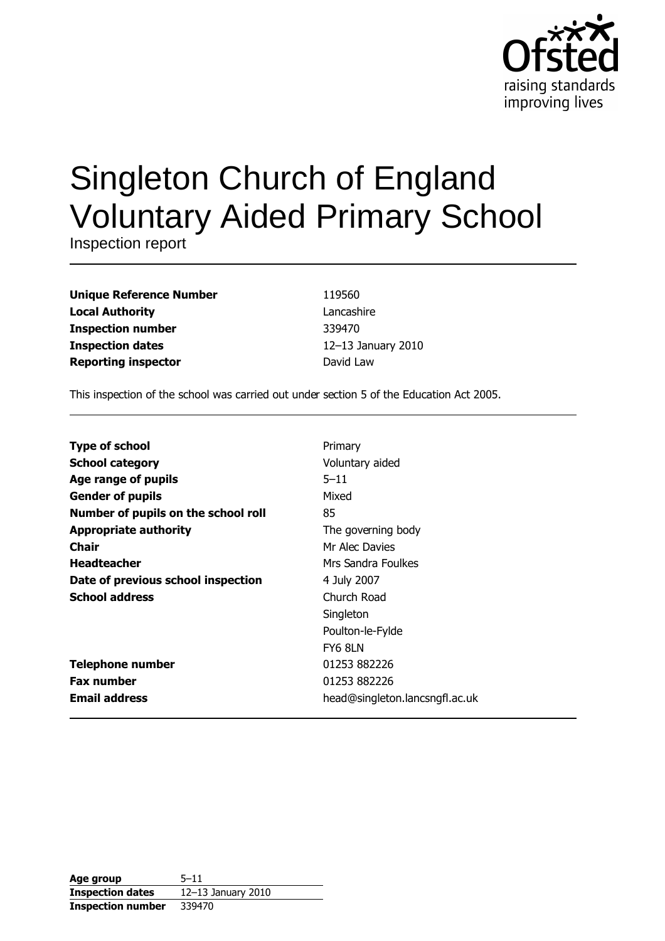

# **Singleton Church of England Voluntary Aided Primary School**

Inspection report

| <b>Unique Reference Number</b> |
|--------------------------------|
| <b>Local Authority</b>         |
| <b>Inspection number</b>       |
| <b>Inspection dates</b>        |
| <b>Reporting inspector</b>     |

119560 Lancashire 339470 12-13 January 2010 David Law

This inspection of the school was carried out under section 5 of the Education Act 2005.

| <b>Type of school</b>               | Primary                        |
|-------------------------------------|--------------------------------|
| <b>School category</b>              | Voluntary aided                |
| Age range of pupils                 | $5 - 11$                       |
| <b>Gender of pupils</b>             | Mixed                          |
| Number of pupils on the school roll | 85                             |
| <b>Appropriate authority</b>        | The governing body             |
| Chair                               | Mr Alec Davies                 |
| <b>Headteacher</b>                  | Mrs Sandra Foulkes             |
| Date of previous school inspection  | 4 July 2007                    |
| <b>School address</b>               | Church Road                    |
|                                     | Singleton                      |
|                                     | Poulton-le-Fylde               |
|                                     | FY6 8LN                        |
| <b>Telephone number</b>             | 01253 882226                   |
| <b>Fax number</b>                   | 01253 882226                   |
| <b>Email address</b>                | head@singleton.lancsngfl.ac.uk |

| Age group                | $5 - 11$           |
|--------------------------|--------------------|
| <b>Inspection dates</b>  | 12-13 January 2010 |
| <b>Inspection number</b> | 339470             |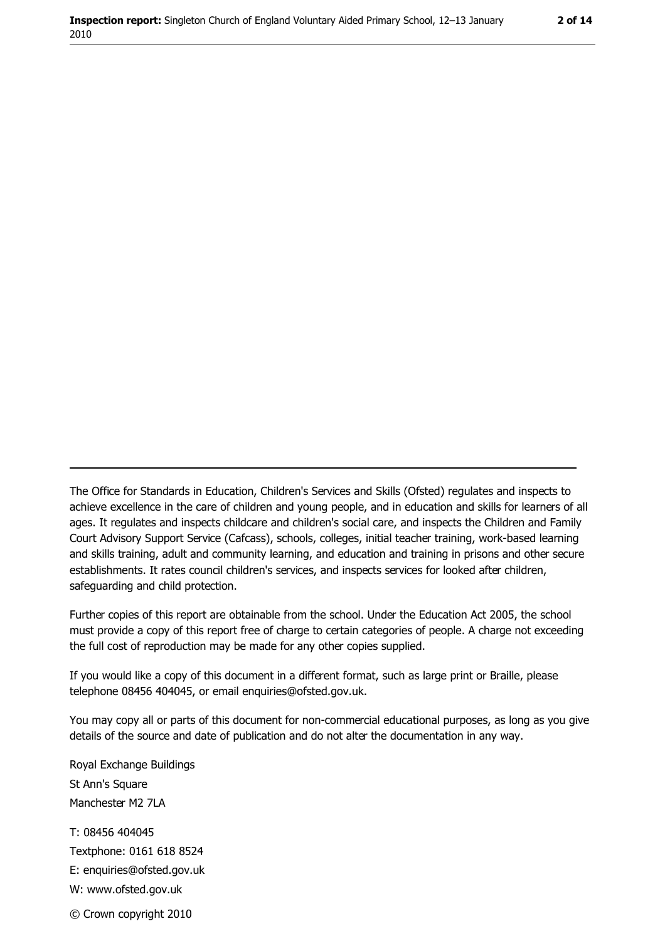The Office for Standards in Education, Children's Services and Skills (Ofsted) regulates and inspects to achieve excellence in the care of children and young people, and in education and skills for learners of all ages. It regulates and inspects childcare and children's social care, and inspects the Children and Family Court Advisory Support Service (Cafcass), schools, colleges, initial teacher training, work-based learning and skills training, adult and community learning, and education and training in prisons and other secure establishments. It rates council children's services, and inspects services for looked after children, safequarding and child protection.

Further copies of this report are obtainable from the school. Under the Education Act 2005, the school must provide a copy of this report free of charge to certain categories of people. A charge not exceeding the full cost of reproduction may be made for any other copies supplied.

If you would like a copy of this document in a different format, such as large print or Braille, please telephone 08456 404045, or email enquiries@ofsted.gov.uk.

You may copy all or parts of this document for non-commercial educational purposes, as long as you give details of the source and date of publication and do not alter the documentation in any way.

Royal Exchange Buildings St Ann's Square Manchester M2 7LA T: 08456 404045 Textphone: 0161 618 8524 E: enquiries@ofsted.gov.uk W: www.ofsted.gov.uk © Crown copyright 2010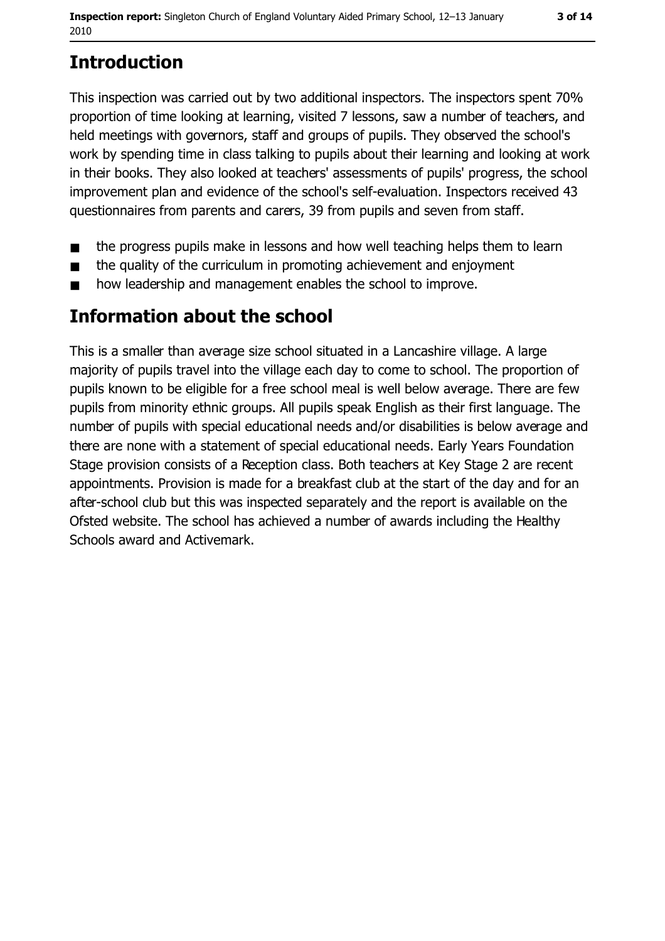# **Introduction**

This inspection was carried out by two additional inspectors. The inspectors spent 70% proportion of time looking at learning, visited 7 lessons, saw a number of teachers, and held meetings with governors, staff and groups of pupils. They observed the school's work by spending time in class talking to pupils about their learning and looking at work in their books. They also looked at teachers' assessments of pupils' progress, the school improvement plan and evidence of the school's self-evaluation. Inspectors received 43 questionnaires from parents and carers, 39 from pupils and seven from staff.

- the progress pupils make in lessons and how well teaching helps them to learn  $\blacksquare$
- the quality of the curriculum in promoting achievement and enjoyment  $\blacksquare$
- how leadership and management enables the school to improve.  $\blacksquare$

# Information about the school

This is a smaller than average size school situated in a Lancashire village. A large majority of pupils travel into the village each day to come to school. The proportion of pupils known to be eligible for a free school meal is well below average. There are few pupils from minority ethnic groups. All pupils speak English as their first language. The number of pupils with special educational needs and/or disabilities is below average and there are none with a statement of special educational needs. Early Years Foundation Stage provision consists of a Reception class. Both teachers at Key Stage 2 are recent appointments. Provision is made for a breakfast club at the start of the day and for an after-school club but this was inspected separately and the report is available on the Ofsted website. The school has achieved a number of awards including the Healthy Schools award and Activemark.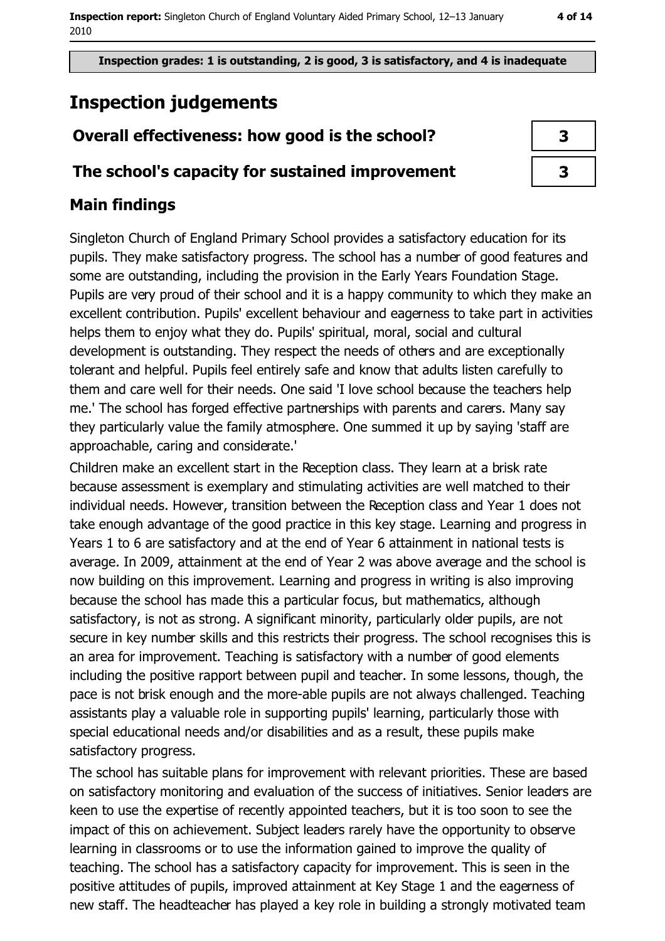# **Inspection judgements**

### Overall effectiveness: how good is the school?

### The school's capacity for sustained improvement

### **Main findings**

Singleton Church of England Primary School provides a satisfactory education for its pupils. They make satisfactory progress. The school has a number of good features and some are outstanding, including the provision in the Early Years Foundation Stage. Pupils are very proud of their school and it is a happy community to which they make an excellent contribution. Pupils' excellent behaviour and eagerness to take part in activities helps them to enjoy what they do. Pupils' spiritual, moral, social and cultural development is outstanding. They respect the needs of others and are exceptionally tolerant and helpful. Pupils feel entirely safe and know that adults listen carefully to them and care well for their needs. One said 'I love school because the teachers help me.' The school has forged effective partnerships with parents and carers. Many say they particularly value the family atmosphere. One summed it up by saying 'staff are approachable, caring and considerate.'

Children make an excellent start in the Reception class. They learn at a brisk rate because assessment is exemplary and stimulating activities are well matched to their individual needs. However, transition between the Reception class and Year 1 does not take enough advantage of the good practice in this key stage. Learning and progress in Years 1 to 6 are satisfactory and at the end of Year 6 attainment in national tests is average. In 2009, attainment at the end of Year 2 was above average and the school is now building on this improvement. Learning and progress in writing is also improving because the school has made this a particular focus, but mathematics, although satisfactory, is not as strong. A significant minority, particularly older pupils, are not secure in key number skills and this restricts their progress. The school recognises this is an area for improvement. Teaching is satisfactory with a number of good elements including the positive rapport between pupil and teacher. In some lessons, though, the pace is not brisk enough and the more-able pupils are not always challenged. Teaching assistants play a valuable role in supporting pupils' learning, particularly those with special educational needs and/or disabilities and as a result, these pupils make satisfactory progress.

The school has suitable plans for improvement with relevant priorities. These are based on satisfactory monitoring and evaluation of the success of initiatives. Senior leaders are keen to use the expertise of recently appointed teachers, but it is too soon to see the impact of this on achievement. Subject leaders rarely have the opportunity to observe learning in classrooms or to use the information gained to improve the quality of teaching. The school has a satisfactory capacity for improvement. This is seen in the positive attitudes of pupils, improved attainment at Key Stage 1 and the eagerness of new staff. The headteacher has played a key role in building a strongly motivated team

| 3 |  |
|---|--|
| 3 |  |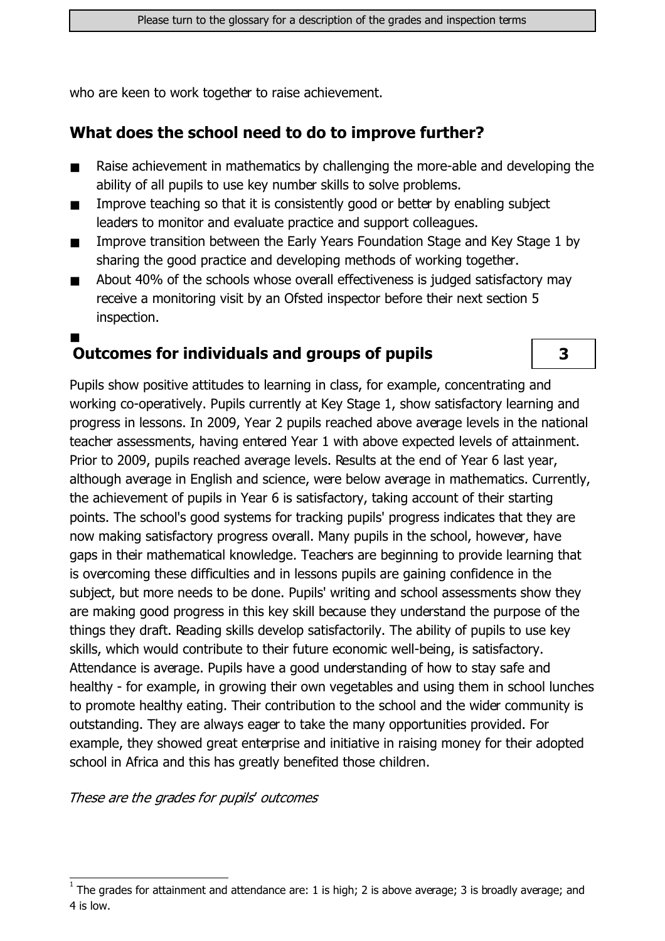who are keen to work together to raise achievement.

### What does the school need to do to improve further?

- Raise achievement in mathematics by challenging the more-able and developing the ability of all pupils to use key number skills to solve problems.
- Improve teaching so that it is consistently good or better by enabling subject  $\blacksquare$ leaders to monitor and evaluate practice and support colleagues.
- Improve transition between the Early Years Foundation Stage and Key Stage 1 by  $\blacksquare$ sharing the good practice and developing methods of working together.
- About 40% of the schools whose overall effectiveness is judged satisfactory may  $\blacksquare$ receive a monitoring visit by an Ofsted inspector before their next section 5 inspection.

# **Outcomes for individuals and groups of pupils**

3

Pupils show positive attitudes to learning in class, for example, concentrating and working co-operatively. Pupils currently at Key Stage 1, show satisfactory learning and progress in lessons. In 2009, Year 2 pupils reached above average levels in the national teacher assessments, having entered Year 1 with above expected levels of attainment. Prior to 2009, pupils reached average levels. Results at the end of Year 6 last vear, although average in English and science, were below average in mathematics. Currently, the achievement of pupils in Year 6 is satisfactory, taking account of their starting points. The school's good systems for tracking pupils' progress indicates that they are now making satisfactory progress overall. Many pupils in the school, however, have gaps in their mathematical knowledge. Teachers are beginning to provide learning that is overcoming these difficulties and in lessons pupils are gaining confidence in the subject, but more needs to be done. Pupils' writing and school assessments show they are making good progress in this key skill because they understand the purpose of the things they draft. Reading skills develop satisfactorily. The ability of pupils to use key skills, which would contribute to their future economic well-being, is satisfactory. Attendance is average. Pupils have a good understanding of how to stay safe and healthy - for example, in growing their own vegetables and using them in school lunches to promote healthy eating. Their contribution to the school and the wider community is outstanding. They are always eager to take the many opportunities provided. For example, they showed great enterprise and initiative in raising money for their adopted school in Africa and this has greatly benefited those children.

These are the grades for pupils' outcomes

The grades for attainment and attendance are: 1 is high; 2 is above average; 3 is broadly average; and 4 is low.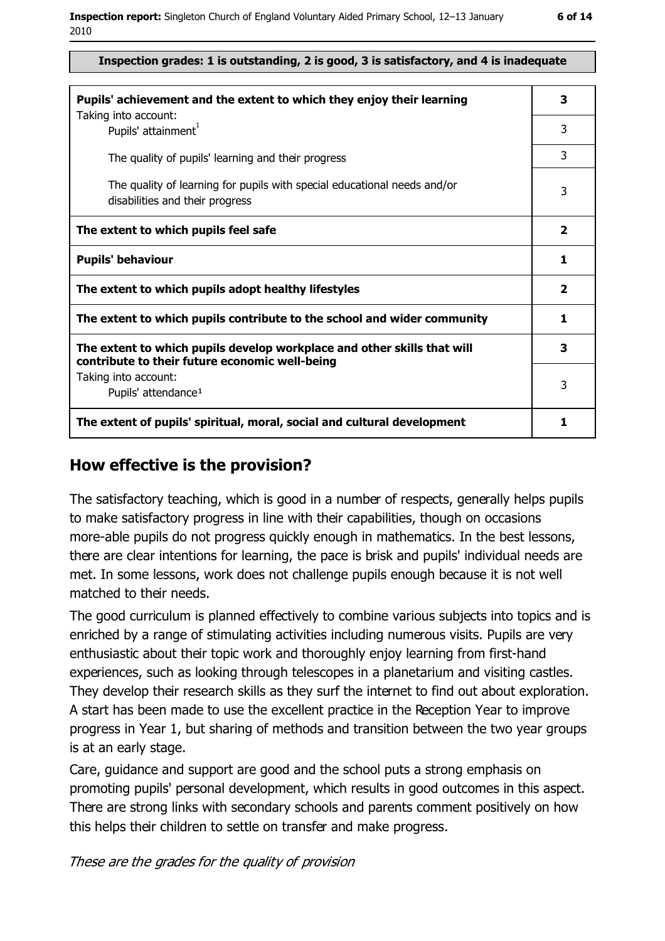#### Inspection grades: 1 is outstanding, 2 is good, 3 is satisfactory, and 4 is inadequate

| Pupils' achievement and the extent to which they enjoy their learning<br>Taking into account:                             | 3                       |
|---------------------------------------------------------------------------------------------------------------------------|-------------------------|
| Pupils' attainment <sup>1</sup>                                                                                           | 3                       |
| The quality of pupils' learning and their progress                                                                        | 3                       |
| The quality of learning for pupils with special educational needs and/or<br>disabilities and their progress               | 3                       |
| The extent to which pupils feel safe                                                                                      | $\overline{\mathbf{2}}$ |
| <b>Pupils' behaviour</b>                                                                                                  | 1                       |
| The extent to which pupils adopt healthy lifestyles                                                                       | $\mathbf{2}$            |
| The extent to which pupils contribute to the school and wider community                                                   | 1                       |
| The extent to which pupils develop workplace and other skills that will<br>contribute to their future economic well-being | 3                       |
| Taking into account:<br>Pupils' attendance <sup>1</sup>                                                                   | 3                       |
| The extent of pupils' spiritual, moral, social and cultural development                                                   | 1                       |

#### How effective is the provision?

The satisfactory teaching, which is good in a number of respects, generally helps pupils to make satisfactory progress in line with their capabilities, though on occasions more-able pupils do not progress quickly enough in mathematics. In the best lessons, there are clear intentions for learning, the pace is brisk and pupils' individual needs are met. In some lessons, work does not challenge pupils enough because it is not well matched to their needs.

The good curriculum is planned effectively to combine various subjects into topics and is enriched by a range of stimulating activities including numerous visits. Pupils are very enthusiastic about their topic work and thoroughly enjoy learning from first-hand experiences, such as looking through telescopes in a planetarium and visiting castles. They develop their research skills as they surf the internet to find out about exploration. A start has been made to use the excellent practice in the Reception Year to improve progress in Year 1, but sharing of methods and transition between the two year groups is at an early stage.

Care, guidance and support are good and the school puts a strong emphasis on promoting pupils' personal development, which results in good outcomes in this aspect. There are strong links with secondary schools and parents comment positively on how this helps their children to settle on transfer and make progress.

These are the grades for the quality of provision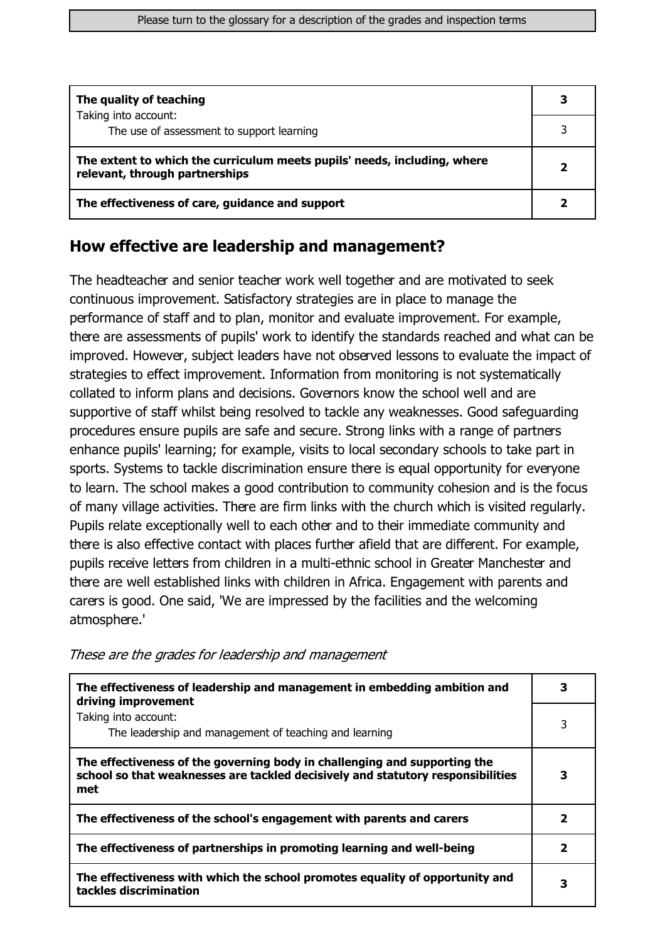| The quality of teaching                                                                                    | 3 |
|------------------------------------------------------------------------------------------------------------|---|
| Taking into account:<br>The use of assessment to support learning                                          |   |
| The extent to which the curriculum meets pupils' needs, including, where<br>relevant, through partnerships |   |
| The effectiveness of care, guidance and support                                                            |   |

#### How effective are leadership and management?

The headteacher and senior teacher work well together and are motivated to seek continuous improvement. Satisfactory strategies are in place to manage the performance of staff and to plan, monitor and evaluate improvement. For example, there are assessments of pupils' work to identify the standards reached and what can be improved. However, subject leaders have not observed lessons to evaluate the impact of strategies to effect improvement. Information from monitoring is not systematically collated to inform plans and decisions. Governors know the school well and are supportive of staff whilst being resolved to tackle any weaknesses. Good safeguarding procedures ensure pupils are safe and secure. Strong links with a range of partners enhance pupils' learning; for example, visits to local secondary schools to take part in sports. Systems to tackle discrimination ensure there is equal opportunity for everyone to learn. The school makes a good contribution to community cohesion and is the focus of many village activities. There are firm links with the church which is visited regularly. Pupils relate exceptionally well to each other and to their immediate community and there is also effective contact with places further afield that are different. For example, pupils receive letters from children in a multi-ethnic school in Greater Manchester and there are well established links with children in Africa. Engagement with parents and carers is good. One said, 'We are impressed by the facilities and the welcoming atmosphere.'

| The effectiveness of leadership and management in embedding ambition and<br>driving improvement                                                                     | 3 |
|---------------------------------------------------------------------------------------------------------------------------------------------------------------------|---|
| Taking into account:<br>The leadership and management of teaching and learning                                                                                      | 3 |
| The effectiveness of the governing body in challenging and supporting the<br>school so that weaknesses are tackled decisively and statutory responsibilities<br>met | 3 |
| The effectiveness of the school's engagement with parents and carers                                                                                                | 2 |
| The effectiveness of partnerships in promoting learning and well-being                                                                                              | 2 |
| The effectiveness with which the school promotes equality of opportunity and<br>tackles discrimination                                                              | З |

These are the grades for leadership and management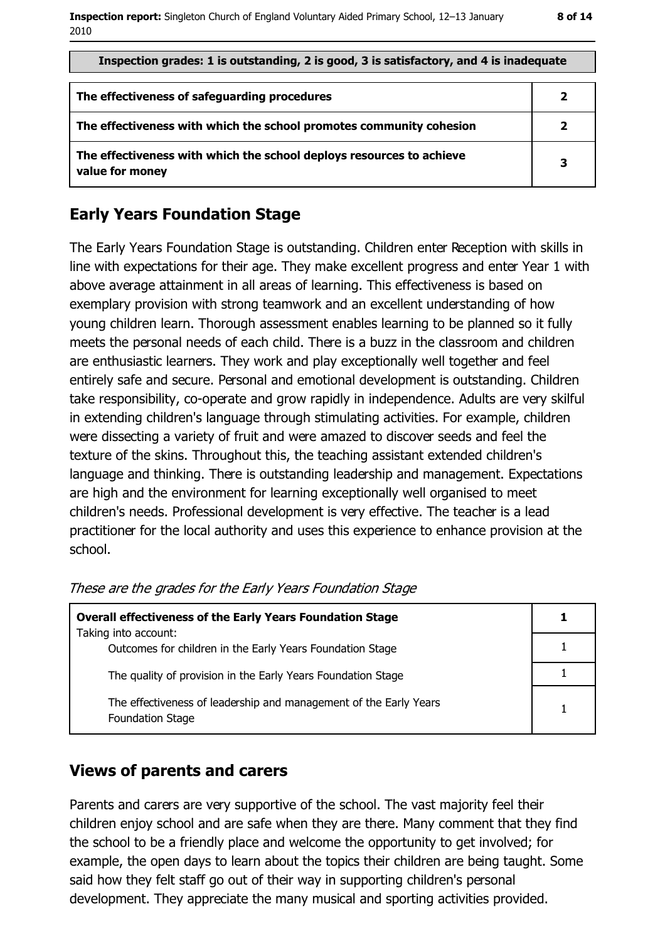| Inspection grades: 1 is outstanding, 2 is good, 3 is satisfactory, and 4 is inadequate  |              |
|-----------------------------------------------------------------------------------------|--------------|
| The effectiveness of safeguarding procedures                                            |              |
| The effectiveness with which the school promotes community cohesion                     | $\mathbf{2}$ |
| The effectiveness with which the school deploys resources to achieve<br>value for money | 3            |

#### **Early Years Foundation Stage**

The Early Years Foundation Stage is outstanding. Children enter Reception with skills in line with expectations for their age. They make excellent progress and enter Year 1 with above average attainment in all areas of learning. This effectiveness is based on exemplary provision with strong teamwork and an excellent understanding of how young children learn. Thorough assessment enables learning to be planned so it fully meets the personal needs of each child. There is a buzz in the classroom and children are enthusiastic learners. They work and play exceptionally well together and feel entirely safe and secure. Personal and emotional development is outstanding. Children take responsibility, co-operate and grow rapidly in independence. Adults are very skilful in extending children's language through stimulating activities. For example, children were dissecting a variety of fruit and were amazed to discover seeds and feel the texture of the skins. Throughout this, the teaching assistant extended children's language and thinking. There is outstanding leadership and management. Expectations are high and the environment for learning exceptionally well organised to meet children's needs. Professional development is very effective. The teacher is a lead practitioner for the local authority and uses this experience to enhance provision at the school.

| <b>Overall effectiveness of the Early Years Foundation Stage</b>                             |  |
|----------------------------------------------------------------------------------------------|--|
| Taking into account:<br>Outcomes for children in the Early Years Foundation Stage            |  |
| The quality of provision in the Early Years Foundation Stage                                 |  |
| The effectiveness of leadership and management of the Early Years<br><b>Foundation Stage</b> |  |

These are the grades for the Early Years Foundation Stage

#### **Views of parents and carers**

Parents and carers are very supportive of the school. The vast majority feel their children enjoy school and are safe when they are there. Many comment that they find the school to be a friendly place and welcome the opportunity to get involved; for example, the open days to learn about the topics their children are being taught. Some said how they felt staff go out of their way in supporting children's personal development. They appreciate the many musical and sporting activities provided.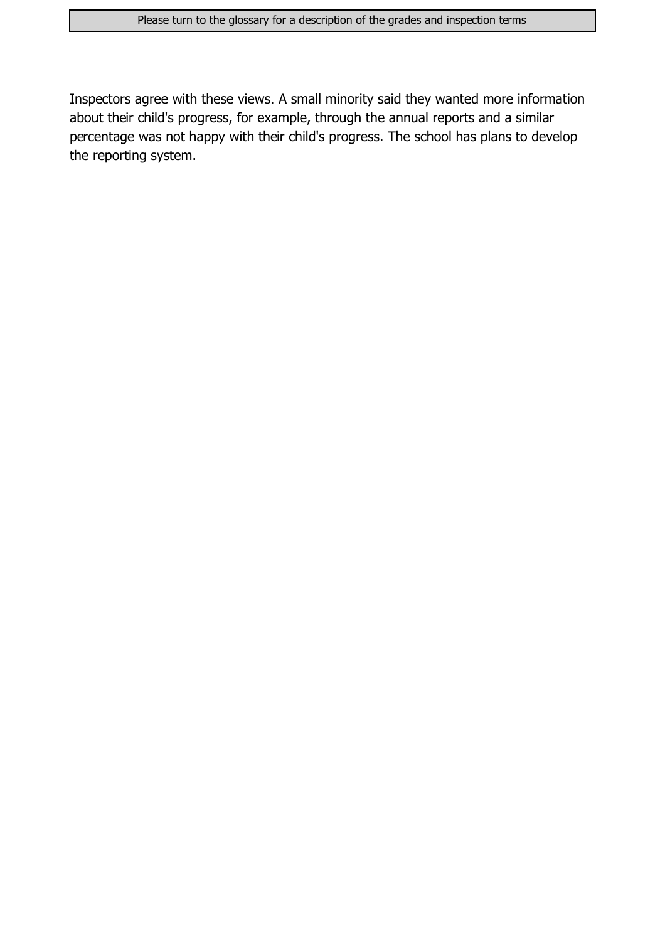Inspectors agree with these views. A small minority said they wanted more information about their child's progress, for example, through the annual reports and a similar percentage was not happy with their child's progress. The school has plans to develop the reporting system.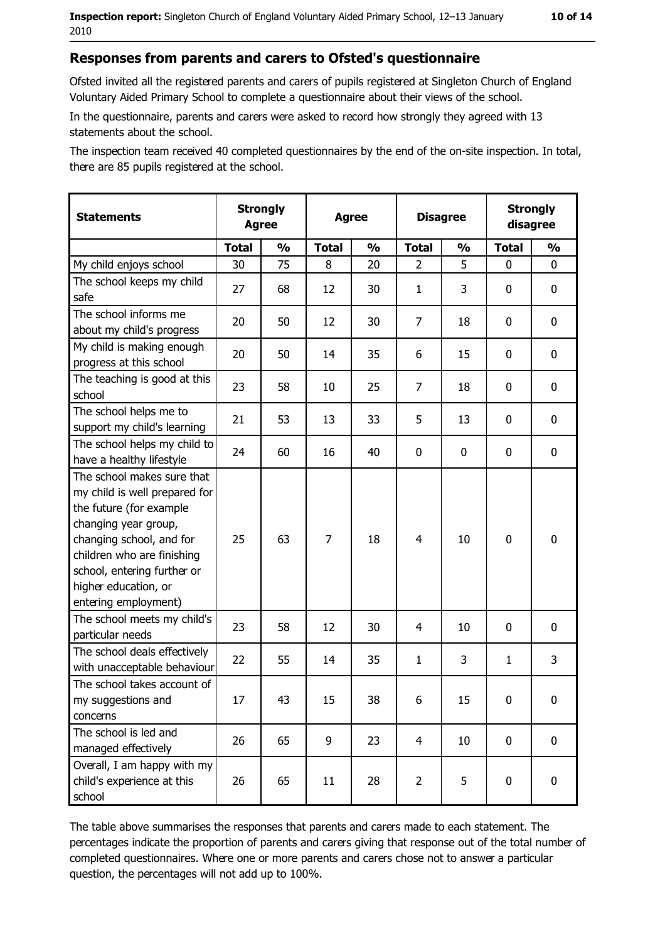#### Responses from parents and carers to Ofsted's questionnaire

Ofsted invited all the registered parents and carers of pupils registered at Singleton Church of England Voluntary Aided Primary School to complete a questionnaire about their views of the school.

In the questionnaire, parents and carers were asked to record how strongly they agreed with 13 statements about the school.

The inspection team received 40 completed questionnaires by the end of the on-site inspection. In total, there are 85 pupils registered at the school.

| <b>Statements</b>                                                                                                                                                                                                                                       | <b>Strongly</b><br><b>Agree</b> |               | <b>Agree</b> |               | <b>Disagree</b> |               |              | <b>Strongly</b><br>disagree |
|---------------------------------------------------------------------------------------------------------------------------------------------------------------------------------------------------------------------------------------------------------|---------------------------------|---------------|--------------|---------------|-----------------|---------------|--------------|-----------------------------|
|                                                                                                                                                                                                                                                         | <b>Total</b>                    | $\frac{0}{0}$ | <b>Total</b> | $\frac{0}{0}$ | <b>Total</b>    | $\frac{0}{0}$ | <b>Total</b> | $\frac{0}{0}$               |
| My child enjoys school                                                                                                                                                                                                                                  | 30                              | 75            | 8            | 20            | $\overline{2}$  | 5             | $\mathbf{0}$ | 0                           |
| The school keeps my child<br>safe                                                                                                                                                                                                                       | 27                              | 68            | 12           | 30            | $\mathbf{1}$    | 3             | 0            | 0                           |
| The school informs me<br>about my child's progress                                                                                                                                                                                                      | 20                              | 50            | 12           | 30            | 7               | 18            | 0            | 0                           |
| My child is making enough<br>progress at this school                                                                                                                                                                                                    | 20                              | 50            | 14           | 35            | 6               | 15            | $\mathbf 0$  | $\boldsymbol{0}$            |
| The teaching is good at this<br>school                                                                                                                                                                                                                  | 23                              | 58            | 10           | 25            | $\overline{7}$  | 18            | 0            | 0                           |
| The school helps me to<br>support my child's learning                                                                                                                                                                                                   | 21                              | 53            | 13           | 33            | 5               | 13            | $\mathbf 0$  | 0                           |
| The school helps my child to<br>have a healthy lifestyle                                                                                                                                                                                                | 24                              | 60            | 16           | 40            | $\mathbf 0$     | 0             | 0            | $\mathbf 0$                 |
| The school makes sure that<br>my child is well prepared for<br>the future (for example<br>changing year group,<br>changing school, and for<br>children who are finishing<br>school, entering further or<br>higher education, or<br>entering employment) | 25                              | 63            | 7            | 18            | $\overline{4}$  | 10            | $\mathbf 0$  | $\mathbf 0$                 |
| The school meets my child's<br>particular needs                                                                                                                                                                                                         | 23                              | 58            | 12           | 30            | 4               | 10            | 0            | 0                           |
| The school deals effectively<br>with unacceptable behaviour                                                                                                                                                                                             | 22                              | 55            | 14           | 35            | $\mathbf{1}$    | 3             | 1            | 3                           |
| The school takes account of<br>my suggestions and<br>concerns                                                                                                                                                                                           | 17                              | 43            | 15           | 38            | 6               | 15            | 0            | $\boldsymbol{0}$            |
| The school is led and<br>managed effectively                                                                                                                                                                                                            | 26                              | 65            | 9            | 23            | $\overline{4}$  | 10            | $\mathbf 0$  | 0                           |
| Overall, I am happy with my<br>child's experience at this<br>school                                                                                                                                                                                     | 26                              | 65            | 11           | 28            | $\overline{2}$  | 5             | 0            | 0                           |

The table above summarises the responses that parents and carers made to each statement. The percentages indicate the proportion of parents and carers giving that response out of the total number of completed questionnaires. Where one or more parents and carers chose not to answer a particular question, the percentages will not add up to 100%.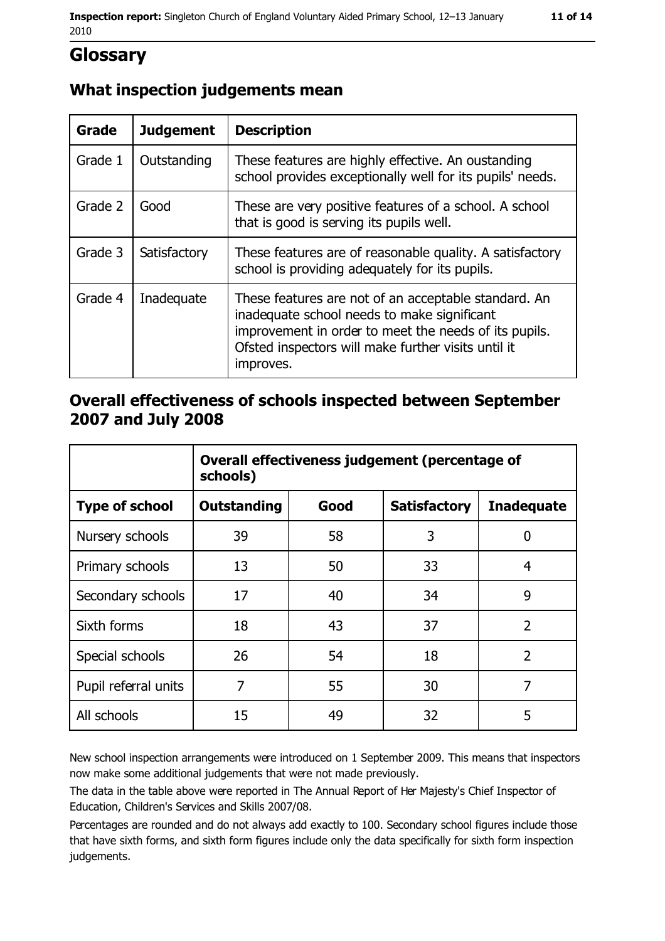# **Glossary**

## What inspection judgements mean

| <b>Grade</b> | <b>Judgement</b> | <b>Description</b>                                                                                                                                                                                                               |
|--------------|------------------|----------------------------------------------------------------------------------------------------------------------------------------------------------------------------------------------------------------------------------|
| Grade 1      | Outstanding      | These features are highly effective. An oustanding<br>school provides exceptionally well for its pupils' needs.                                                                                                                  |
| Grade 2      | Good             | These are very positive features of a school. A school<br>that is good is serving its pupils well.                                                                                                                               |
| Grade 3      | Satisfactory     | These features are of reasonable quality. A satisfactory<br>school is providing adequately for its pupils.                                                                                                                       |
| Grade 4      | Inadequate       | These features are not of an acceptable standard. An<br>inadequate school needs to make significant<br>improvement in order to meet the needs of its pupils.<br>Ofsted inspectors will make further visits until it<br>improves. |

### Overall effectiveness of schools inspected between September 2007 and July 2008

|                       | Overall effectiveness judgement (percentage of<br>schools) |      |                     |                   |  |
|-----------------------|------------------------------------------------------------|------|---------------------|-------------------|--|
| <b>Type of school</b> | <b>Outstanding</b>                                         | Good | <b>Satisfactory</b> | <b>Inadequate</b> |  |
| Nursery schools       | 39                                                         | 58   | 3                   | 0                 |  |
| Primary schools       | 13                                                         | 50   | 33                  | 4                 |  |
| Secondary schools     | 17                                                         | 40   | 34                  | 9                 |  |
| Sixth forms           | 18                                                         | 43   | 37                  | $\overline{2}$    |  |
| Special schools       | 26                                                         | 54   | 18                  | $\overline{2}$    |  |
| Pupil referral units  | 7                                                          | 55   | 30                  | $\overline{7}$    |  |
| All schools           | 15                                                         | 49   | 32                  | 5                 |  |

New school inspection arrangements were introduced on 1 September 2009. This means that inspectors now make some additional judgements that were not made previously.

The data in the table above were reported in The Annual Report of Her Majesty's Chief Inspector of Education, Children's Services and Skills 2007/08.

Percentages are rounded and do not always add exactly to 100. Secondary school figures include those that have sixth forms, and sixth form figures include only the data specifically for sixth form inspection judgements.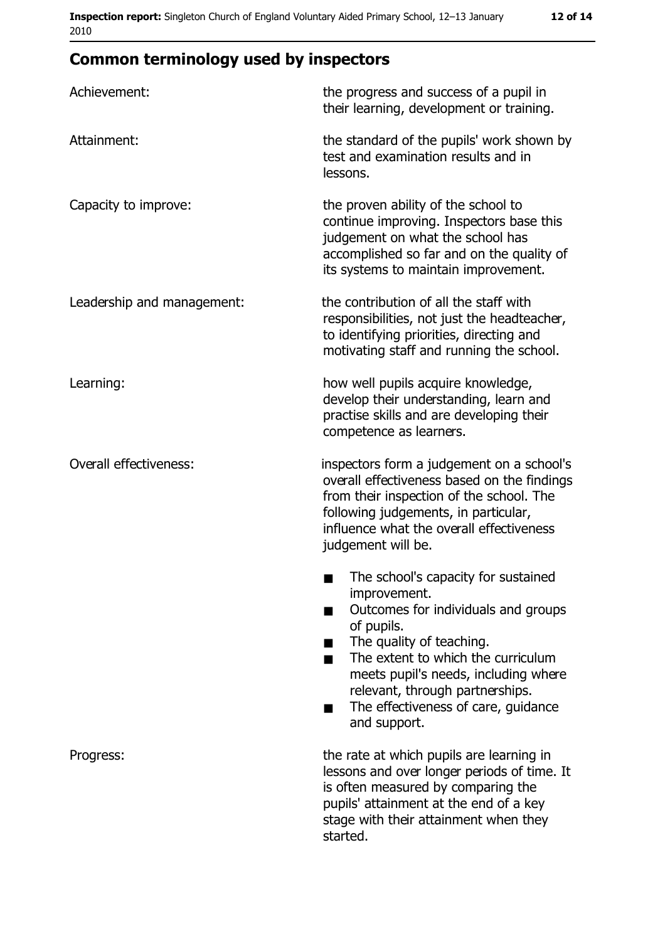# **Common terminology used by inspectors**

| Achievement:               | the progress and success of a pupil in<br>their learning, development or training.                                                                                                                                                                                                                           |
|----------------------------|--------------------------------------------------------------------------------------------------------------------------------------------------------------------------------------------------------------------------------------------------------------------------------------------------------------|
| Attainment:                | the standard of the pupils' work shown by<br>test and examination results and in<br>lessons.                                                                                                                                                                                                                 |
| Capacity to improve:       | the proven ability of the school to<br>continue improving. Inspectors base this<br>judgement on what the school has<br>accomplished so far and on the quality of<br>its systems to maintain improvement.                                                                                                     |
| Leadership and management: | the contribution of all the staff with<br>responsibilities, not just the headteacher,<br>to identifying priorities, directing and<br>motivating staff and running the school.                                                                                                                                |
| Learning:                  | how well pupils acquire knowledge,<br>develop their understanding, learn and<br>practise skills and are developing their<br>competence as learners.                                                                                                                                                          |
| Overall effectiveness:     | inspectors form a judgement on a school's<br>overall effectiveness based on the findings<br>from their inspection of the school. The<br>following judgements, in particular,<br>influence what the overall effectiveness<br>judgement will be.                                                               |
|                            | The school's capacity for sustained<br>improvement.<br>Outcomes for individuals and groups<br>of pupils.<br>The quality of teaching.<br>The extent to which the curriculum<br>meets pupil's needs, including where<br>relevant, through partnerships.<br>The effectiveness of care, guidance<br>and support. |
| Progress:                  | the rate at which pupils are learning in<br>lessons and over longer periods of time. It<br>is often measured by comparing the<br>pupils' attainment at the end of a key<br>stage with their attainment when they<br>started.                                                                                 |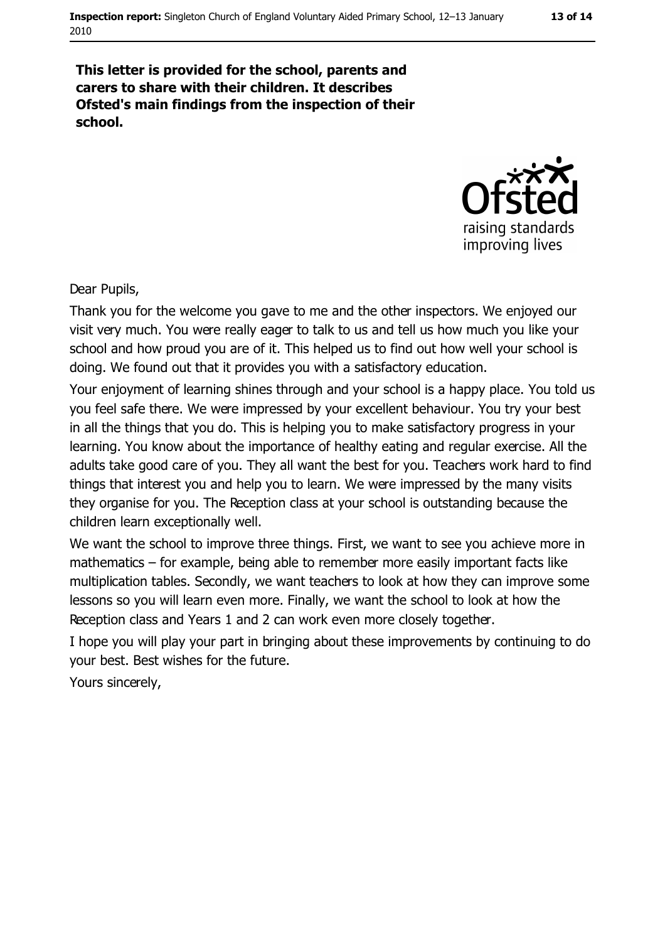#### This letter is provided for the school, parents and carers to share with their children. It describes Ofsted's main findings from the inspection of their school.



Dear Pupils,

Thank you for the welcome you gave to me and the other inspectors. We enjoyed our visit very much. You were really eager to talk to us and tell us how much you like your school and how proud you are of it. This helped us to find out how well your school is doing. We found out that it provides you with a satisfactory education.

Your enjoyment of learning shines through and your school is a happy place. You told us you feel safe there. We were impressed by your excellent behaviour. You try your best in all the things that you do. This is helping you to make satisfactory progress in your learning. You know about the importance of healthy eating and regular exercise. All the adults take good care of you. They all want the best for you. Teachers work hard to find things that interest you and help you to learn. We were impressed by the many visits they organise for you. The Reception class at your school is outstanding because the children learn exceptionally well.

We want the school to improve three things. First, we want to see you achieve more in mathematics – for example, being able to remember more easily important facts like multiplication tables. Secondly, we want teachers to look at how they can improve some lessons so you will learn even more. Finally, we want the school to look at how the Reception class and Years 1 and 2 can work even more closely together.

I hope you will play your part in bringing about these improvements by continuing to do your best. Best wishes for the future.

Yours sincerely,